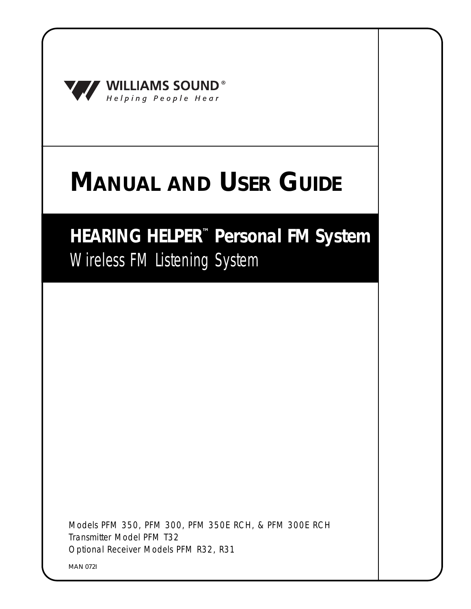

# **MANUAL AND USER GUIDE**

# **HEARING HELPER™ Personal FM System** Wireless FM Listening System

Models PFM 350, PFM 300, PFM 350E RCH, & PFM 300E RCH Transmitter Model PFM T32 Optional Receiver Models PFM R32, R31

MAN 072I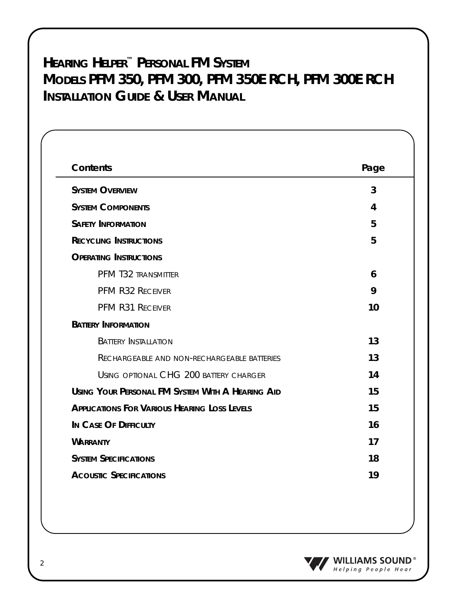# **HEARING HELPER™ PERSONAL FM SYSTEM MODELS PFM 350, PFM 300, PFM 350E RCH, PFM 300E RCH INSTALLATION GUIDE & USER MANUAL**

| <b>Contents</b>                                     | Page |
|-----------------------------------------------------|------|
| <b>SYSTEM OVERVIEW</b>                              | 3    |
| <b>SYSTEM COMPONENTS</b>                            | 4    |
| <b>SAFETY INFORMATION</b>                           | 5    |
| <b>RECYCLING INSTRUCTIONS</b>                       | 5    |
| <b>OPERATING INSTRUCTIONS</b>                       |      |
| <b>PFM T32 TRANSMITTER</b>                          | 6    |
| <b>PFM R32 RECEIVER</b>                             | 9    |
| <b>PFM R31 RECEIVER</b>                             | 10   |
| <b>BATTERY INFORMATION</b>                          |      |
| <b>BATTERY INSTALLATION</b>                         | 13   |
| RECHARGEABLE AND NON-RECHARGEABLE BATTERIES         | 13   |
| USING OPTIONAL CHG 200 BATTERY CHARGER              | 14   |
| USING YOUR PERSONAL FM SYSTEM WITH A HEARING AID    | 15   |
| <b>APPLICATIONS FOR VARIOUS HEARING LOSS LEVELS</b> | 15   |
| IN CASE OF DIFFICULTY                               | 16   |
| <b>WARRANTY</b>                                     | 17   |
| <b>SYSTEM SPECIFICATIONS</b>                        | 18   |
| <b>ACOUSTIC SPECIFICATIONS</b>                      | 19   |

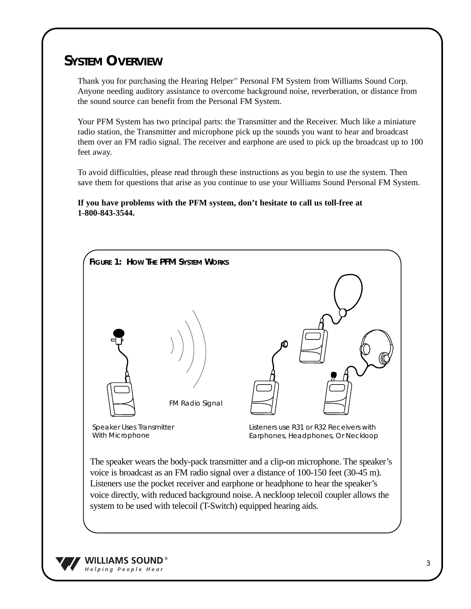# **SYSTEM OVERVIEW**

Thank you for purchasing the Hearing Helper™ Personal FM System from Williams Sound Corp. Anyone needing auditory assistance to overcome background noise, reverberation, or distance from the sound source can benefit from the Personal FM System.

Your PFM System has two principal parts: the Transmitter and the Receiver. Much like a miniature radio station, the Transmitter and microphone pick up the sounds you want to hear and broadcast them over an FM radio signal. The receiver and earphone are used to pick up the broadcast up to 100 feet away.

To avoid difficulties, please read through these instructions as you begin to use the system. Then save them for questions that arise as you continue to use your Williams Sound Personal FM System.

#### **If you have problems with the PFM system, don't hesitate to call us toll-free at 1-800-843-3544.**



voice is broadcast as an FM radio signal over a distance of 100-150 feet (30-45 m). Listeners use the pocket receiver and earphone or headphone to hear the speaker's voice directly, with reduced background noise. A neckloop telecoil coupler allows the system to be used with telecoil (T-Switch) equipped hearing aids.

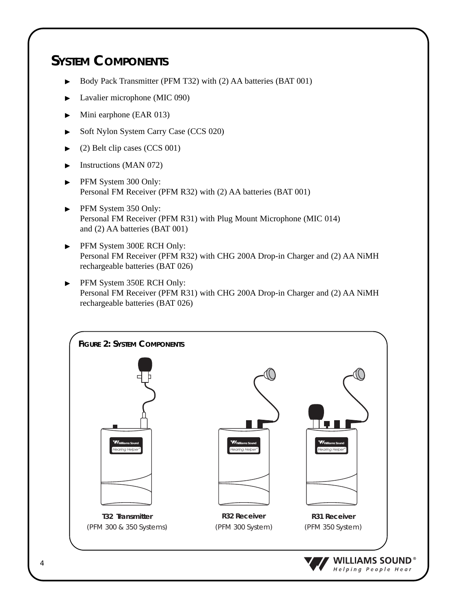### **SYSTEM COMPONENTS**

- $\blacksquare$ Body Pack Transmitter (PFM T32) with (2) AA batteries (BAT 001)
- -Lavalier microphone (MIC 090)
- -Mini earphone (EAR 013)
- -Soft Nylon System Carry Case (CCS 020)
- -(2) Belt clip cases (CCS 001)
- -Instructions (MAN 072)
- **FFM System 300 Only:** Personal FM Receiver (PFM R32) with (2) AA batteries (BAT 001)
- $\blacktriangleright$  PFM System 350 Only: Personal FM Receiver (PFM R31) with Plug Mount Microphone (MIC 014) and (2) AA batteries (BAT 001)
- $\blacktriangleright$  PFM System 300E RCH Only: Personal FM Receiver (PFM R32) with CHG 200A Drop-in Charger and (2) AA NiMH rechargeable batteries (BAT 026)
- $\blacktriangleright$  PFM System 350E RCH Only: Personal FM Receiver (PFM R31) with CHG 200A Drop-in Charger and (2) AA NiMH rechargeable batteries (BAT 026)

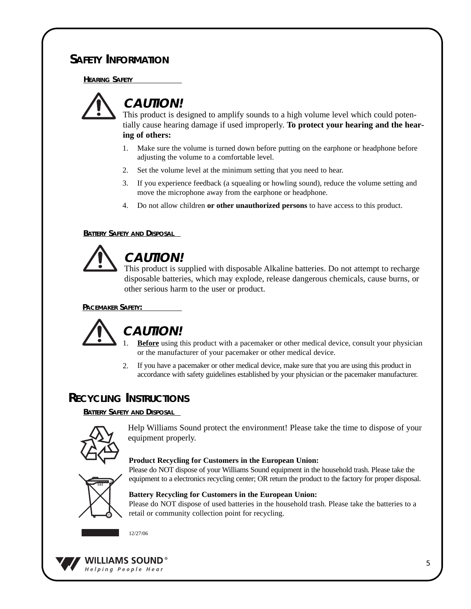### **SAFETY INFORMATION**

**HEARING SAFETY**



### **CAUTION!**

This product is designed to amplify sounds to a high volume level which could potentially cause hearing damage if used improperly. **To protect your hearing and the hearing of others:**

- Make sure the volume is turned down before putting on the earphone or headphone before adjusting the volume to a comfortable level. 1.
- Set the volume level at the minimum setting that you need to hear. 2.
- If you experience feedback (a squealing or howling sound), reduce the volume setting and move the microphone away from the earphone or headphone. 3.
- Do not allow children **or other unauthorized persons** to have access to this product. 4.

#### **BATTERY SAFETY AND DISPOSAL**

### **CAUTION!**

This product is supplied with disposable Alkaline batteries. Do not attempt to recharge disposable batteries, which may explode, release dangerous chemicals, cause burns, or other serious harm to the user or product.

#### **PACEMAKER SAFETY:**



## **CAUTION!**

- **Before** using this product with a pacemaker or other medical device, consult your physician or the manufacturer of your pacemaker or other medical device. 1.
- If you have a pacemaker or other medical device, make sure that you are using this product in accordance with safety guidelines established by your physician or the pacemaker manufacturer. 2.

### **RECYCLING INSTRUCTIONS**

**BATTERY SAFETY AND DISPOSAL**



Help Williams Sound protect the environment! Please take the time to dispose of your equipment properly.

#### **Product Recycling for Customers in the European Union:**

Please do NOT dispose of your Williams Sound equipment in the household trash. Please take the equipment to a electronics recycling center; OR return the product to the factory for proper disposal.



**Battery Recycling for Customers in the European Union:**

Please do NOT dispose of used batteries in the household trash. Please take the batteries to a retail or community collection point for recycling.



12/27/06

WILLIAMS SOUND® Helping People Hear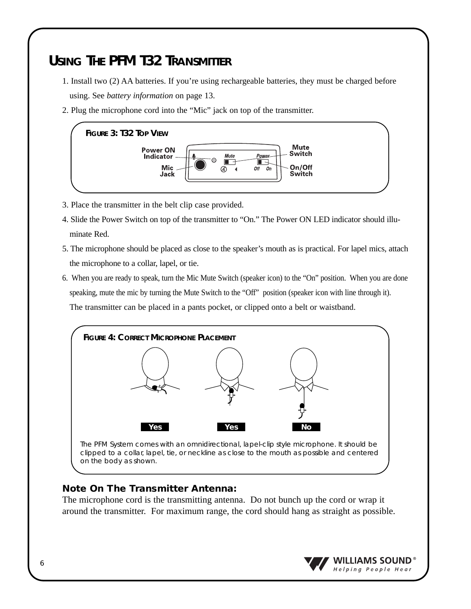# **USING THE PFM T32 TRANSMITTER**

- 1. Install two (2) AA batteries. If you're using rechargeable batteries, they must be charged before using. See *battery information* on page 13.
- 2. Plug the microphone cord into the "Mic" jack on top of the transmitter.



- 3. Place the transmitter in the belt clip case provided.
- 4. Slide the Power Switch on top of the transmitter to "On." The Power ON LED indicator should illuminate Red.
- 5. The microphone should be placed as close to the speaker's mouth as is practical. For lapel mics, attach the microphone to a collar, lapel, or tie.
- 6. When you are ready to speak, turn the Mic Mute Switch (speaker icon) to the "On" position. When you are done speaking, mute the mic by turning the Mute Switch to the "Off" position (speaker icon with line through it). The transmitter can be placed in a pants pocket, or clipped onto a belt or waistband.



on the body as shown.

#### **Note On The Transmitter Antenna:**

The microphone cord is the transmitting antenna. Do not bunch up the cord or wrap it around the transmitter. For maximum range, the cord should hang as straight as possible.

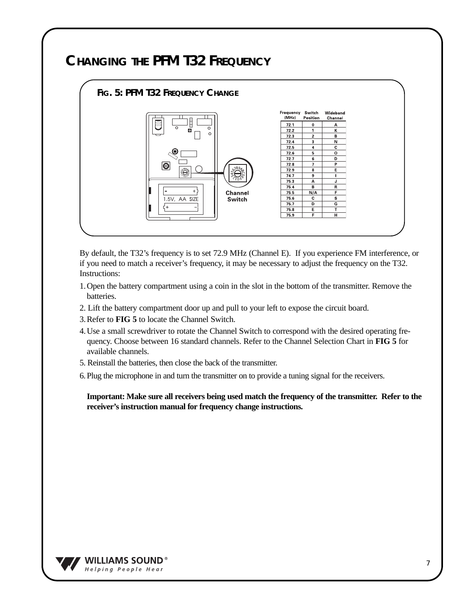## **CHANGING THE PFM T32 FREQUENCY**



By default, the T32's frequency is to set 72.9 MHz (Channel E). If you experience FM interference, or if you need to match a receiver's frequency, it may be necessary to adjust the frequency on the T32. Instructions:

- 1.Open the battery compartment using a coin in the slot in the bottom of the transmitter. Remove the batteries.
- 2. Lift the battery compartment door up and pull to your left to expose the circuit board.
- 3.Refer to **FIG 5** to locate the Channel Switch.
- 4.Use a small screwdriver to rotate the Channel Switch to correspond with the desired operating frequency. Choose between 16 standard channels. Refer to the Channel Selection Chart in **FIG 5** for available channels.
- 5. Reinstall the batteries, then close the back of the transmitter.
- 6. Plug the microphone in and turn the transmitter on to provide a tuning signal for the receivers.

**Important: Make sure all receivers being used match the frequency of the transmitter. Refer to the receiver's instruction manual for frequency change instructions.**

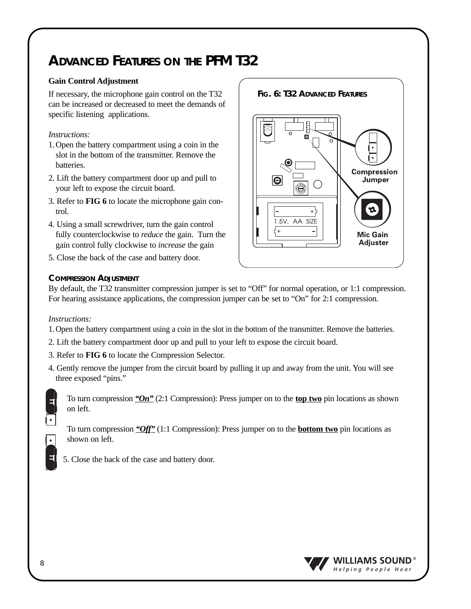# **ADVANCED FEATURES ON THE PFM T32**

#### **Gain Control Adjustment**

If necessary, the microphone gain control on the T32 can be increased or decreased to meet the demands of specific listening applications.

#### *Instructions:*

- 1.Open the battery compartment using a coin in the slot in the bottom of the transmitter. Remove the batteries.
- 2. Lift the battery compartment door up and pull to your left to expose the circuit board.
- 3. Refer to **FIG 6** to locate the microphone gain control.
- 4. Using a small screwdriver, turn the gain control fully counterclockwise to *reduce* the gain. Turn the gain control fully clockwise to *increase* the gain
- 5. Close the back of the case and battery door.



#### **COMPRESSION ADJUSTMENT**

By default, the T32 transmitter compression jumper is set to "Off" for normal operation, or 1:1 compression. For hearing assistance applications, the compression jumper can be set to "On" for 2:1 compression.

#### *Instructions:*

- 1.Open the battery compartment using a coin in the slot in the bottom of the transmitter. Remove the batteries.
- 2. Lift the battery compartment door up and pull to your left to expose the circuit board.
- 3. Refer to **FIG 6** to locate the Compression Selector.
- 4. Gently remove the jumper from the circuit board by pulling it up and away from the unit. You will see three exposed "pins."



To turn compression *"On"* (2:1 Compression): Press jumper on to the **top two** pin locations as shown on left.

To turn compression *"Off"* (1:1 Compression): Press jumper on to the **bottom two** pin locations as shown on left.



5. Close the back of the case and battery door.

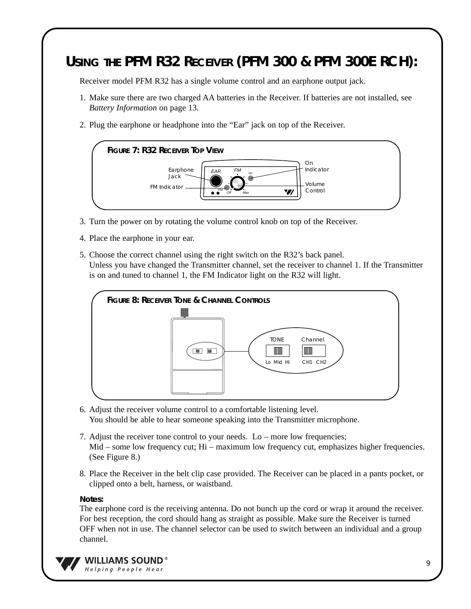# **USING THE PFM R32 RECEIVER (PFM 300 & PFM 300E RCH):**

Receiver model PFM R32 has a single volume control and an earphone output jack.

- 1. Make sure there are two charged AA batteries in the Receiver. If batteries are not installed, see *Battery Information* on page 13.
- 2. Plug the earphone or headphone into the "Ear" jack on top of the Receiver.



- 3. Turn the power on by rotating the volume control knob on top of the Receiver.
- 4. Place the earphone in your ear.
- 5. Choose the correct channel using the right switch on the R32's back panel. Unless you have changed the Transmitter channel, set the receiver to channel 1. If the Transmitter is on and tuned to channel 1, the FM Indicator light on the R32 will light.



- 6. Adjust the receiver volume control to a comfortable listening level. You should be able to hear someone speaking into the Transmitter microphone.
- 7. Adjust the receiver tone control to your needs. Lo more low frequencies; Mid – some low frequency cut; Hi – maximum low frequency cut, emphasizes higher frequencies. (See Figure 8.)
- 8. Place the Receiver in the belt clip case provided. The Receiver can be placed in a pants pocket, or clipped onto a belt, harness, or waistband.

#### **Notes:**

The earphone cord is the receiving antenna. Do not bunch up the cord or wrap it around the receiver. For best reception, the cord should hang as straight as possible. Make sure the Receiver is turned OFF when not in use. The channel selector can be used to switch between an individual and a group channel.

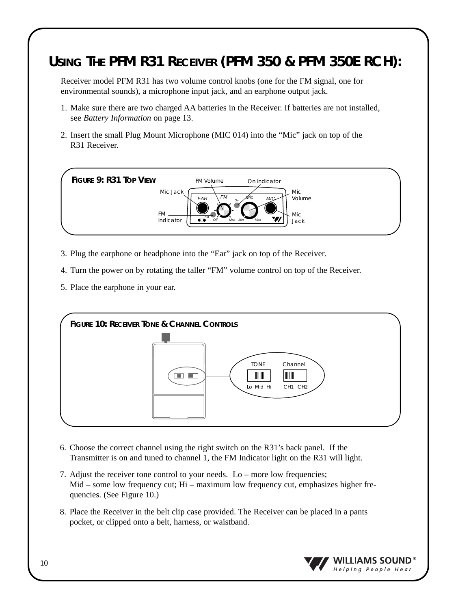# **USING THE PFM R31 RECEIVER (PFM 350 & PFM 350E RCH):**

Receiver model PFM R31 has two volume control knobs (one for the FM signal, one for environmental sounds), a microphone input jack, and an earphone output jack.

- 1. Make sure there are two charged AA batteries in the Receiver. If batteries are not installed, see *Battery Information* on page 13.
- 2. Insert the small Plug Mount Microphone (MIC 014) into the "Mic" jack on top of the R31 Receiver.



- 3. Plug the earphone or headphone into the "Ear" jack on top of the Receiver.
- 4. Turn the power on by rotating the taller "FM" volume control on top of the Receiver.
- 5. Place the earphone in your ear.



- 6. Choose the correct channel using the right switch on the R31's back panel. If the Transmitter is on and tuned to channel 1, the FM Indicator light on the R31 will light.
- 7. Adjust the receiver tone control to your needs. Lo more low frequencies; Mid – some low frequency cut; Hi – maximum low frequency cut, emphasizes higher frequencies. (See Figure 10.)
- 8. Place the Receiver in the belt clip case provided. The Receiver can be placed in a pants pocket, or clipped onto a belt, harness, or waistband.

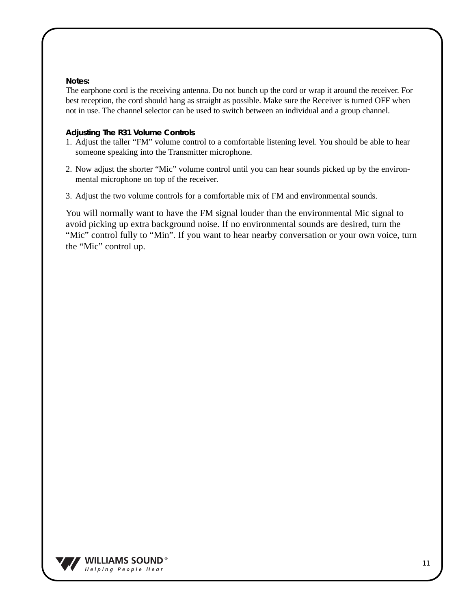#### **Notes:**

The earphone cord is the receiving antenna. Do not bunch up the cord or wrap it around the receiver. For best reception, the cord should hang as straight as possible. Make sure the Receiver is turned OFF when not in use. The channel selector can be used to switch between an individual and a group channel.

#### **Adjusting The R31 Volume Controls**

- 1. Adjust the taller "FM" volume control to a comfortable listening level. You should be able to hear someone speaking into the Transmitter microphone.
- 2. Now adjust the shorter "Mic" volume control until you can hear sounds picked up by the environmental microphone on top of the receiver.
- 3. Adjust the two volume controls for a comfortable mix of FM and environmental sounds.

You will normally want to have the FM signal louder than the environmental Mic signal to avoid picking up extra background noise. If no environmental sounds are desired, turn the "Mic" control fully to "Min". If you want to hear nearby conversation or your own voice, turn the "Mic" control up.

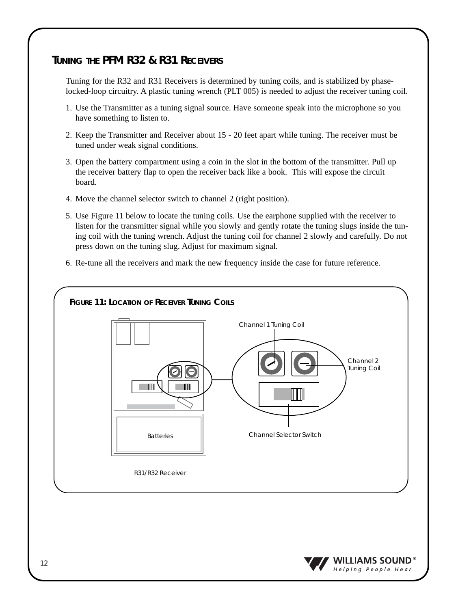#### **TUNING THE PFM R32 & R31 RECEIVERS**

Tuning for the R32 and R31 Receivers is determined by tuning coils, and is stabilized by phaselocked-loop circuitry. A plastic tuning wrench (PLT 005) is needed to adjust the receiver tuning coil.

- 1. Use the Transmitter as a tuning signal source. Have someone speak into the microphone so you have something to listen to.
- 2. Keep the Transmitter and Receiver about 15 20 feet apart while tuning. The receiver must be tuned under weak signal conditions.
- 3. Open the battery compartment using a coin in the slot in the bottom of the transmitter. Pull up the receiver battery flap to open the receiver back like a book. This will expose the circuit board.
- 4. Move the channel selector switch to channel 2 (right position).
- 5. Use Figure 11 below to locate the tuning coils. Use the earphone supplied with the receiver to listen for the transmitter signal while you slowly and gently rotate the tuning slugs inside the tuning coil with the tuning wrench. Adjust the tuning coil for channel 2 slowly and carefully. Do not press down on the tuning slug. Adjust for maximum signal.
- 6. Re-tune all the receivers and mark the new frequency inside the case for future reference.

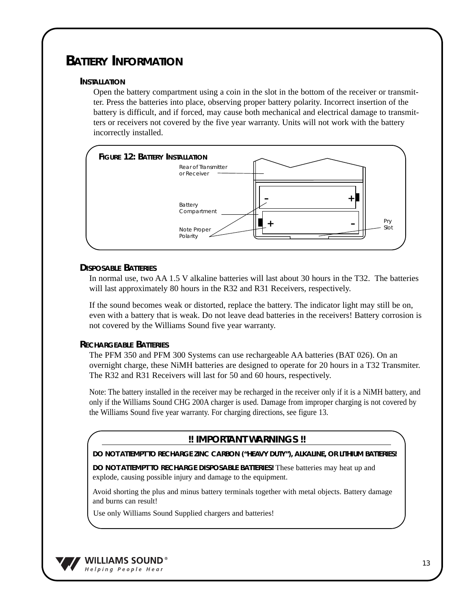# **BATTERY INFORMATION**

#### **INSTALLATION**

Open the battery compartment using a coin in the slot in the bottom of the receiver or transmitter. Press the batteries into place, observing proper battery polarity. Incorrect insertion of the battery is difficult, and if forced, may cause both mechanical and electrical damage to transmitters or receivers not covered by the five year warranty. Units will not work with the battery incorrectly installed.



#### **DISPOSABLE BATTERIES**

In normal use, two AA 1.5 V alkaline batteries will last about 30 hours in the T32. The batteries will last approximately 80 hours in the R32 and R31 Receivers, respectively.

If the sound becomes weak or distorted, replace the battery. The indicator light may still be on, even with a battery that is weak. Do not leave dead batteries in the receivers! Battery corrosion is not covered by the Williams Sound five year warranty.

#### **RECHARGEABLE BATTERIES**

The PFM 350 and PFM 300 Systems can use rechargeable AA batteries (BAT 026). On an overnight charge, these NiMH batteries are designed to operate for 20 hours in a T32 Transmiter. The R32 and R31 Receivers will last for 50 and 60 hours, respectively.

Note: The battery installed in the receiver may be recharged in the receiver only if it is a NiMH battery, and only if the Williams Sound CHG 200A charger is used. Damage from improper charging is not covered by the Williams Sound five year warranty. For charging directions, see figure 13.

#### **!! IMPORTANT WARNINGS !!**

**DO NOT ATTEMPT TO RECHARGE ZINC CARBON ("HEAVY DUTY"), ALKALINE, OR LITHIUM BATTERIES!** 

**DO NOT ATTEMPT TO RECHARGE DISPOSABLE BATTERIES!** These batteries may heat up and explode, causing possible injury and damage to the equipment.

Avoid shorting the plus and minus battery terminals together with metal objects. Battery damage and burns can result!

Use only Williams Sound Supplied chargers and batteries!

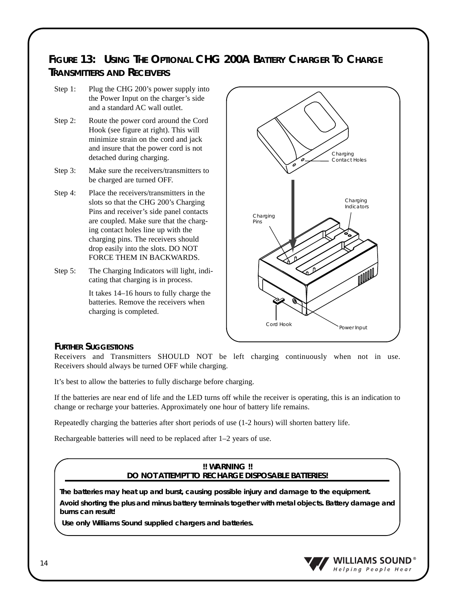### **FIGURE 13: USING THE OPTIONAL CHG 200A BATTERY CHARGER TO CHARGE TRANSMITTERS AND RECEIVERS**

- Step 1: Plug the CHG 200's power supply into the Power Input on the charger's side and a standard AC wall outlet.
- Step 2: Route the power cord around the Cord Hook (see figure at right). This will minimize strain on the cord and jack and insure that the power cord is not detached during charging.
- Step 3: Make sure the receivers/transmitters to be charged are turned OFF.
- Step 4: Place the receivers/transmitters in the slots so that the CHG 200's Charging Pins and receiver's side panel contacts are coupled. Make sure that the charging contact holes line up with the charging pins. The receivers should drop easily into the slots. DO NOT FORCE THEM IN BACKWARDS.
- Step 5: The Charging Indicators will light, indicating that charging is in process.

It takes 14–16 hours to fully charge the batteries. Remove the receivers when charging is completed.



#### **FURTHER SUGGESTIONS**

Receivers and Transmitters SHOULD NOT be left charging continuously when not in use. Receivers should always be turned OFF while charging.

It's best to allow the batteries to fully discharge before charging.

If the batteries are near end of life and the LED turns off while the receiver is operating, this is an indication to change or recharge your batteries. Approximately one hour of battery life remains.

Repeatedly charging the batteries after short periods of use (1-2 hours) will shorten battery life.

Rechargeable batteries will need to be replaced after 1–2 years of use.

#### **!! WARNING !! DO NOT ATTEMPT TO RECHARGE DISPOSABLE BATTERIES!**

**The batteries may heat up and burst, causing possible injury and damage to the equipment.**

**Avoid shorting the plus and minus battery terminals together with metal objects. Battery damage and burns can result!**

**Use only Williams Sound supplied chargers and batteries.**

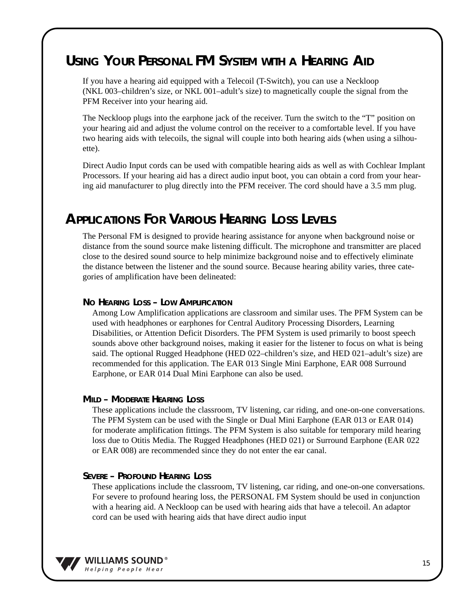### **USING YOUR PERSONAL FM SYSTEM WITH A HEARING AID**

If you have a hearing aid equipped with a Telecoil (T-Switch), you can use a Neckloop (NKL 003–children's size, or NKL 001–adult's size) to magnetically couple the signal from the PFM Receiver into your hearing aid.

The Neckloop plugs into the earphone jack of the receiver. Turn the switch to the "T" position on your hearing aid and adjust the volume control on the receiver to a comfortable level. If you have two hearing aids with telecoils, the signal will couple into both hearing aids (when using a silhouette).

Direct Audio Input cords can be used with compatible hearing aids as well as with Cochlear Implant Processors. If your hearing aid has a direct audio input boot, you can obtain a cord from your hearing aid manufacturer to plug directly into the PFM receiver. The cord should have a 3.5 mm plug.

### **APPLICATIONS FOR VARIOUS HEARING LOSS LEVELS**

The Personal FM is designed to provide hearing assistance for anyone when background noise or distance from the sound source make listening difficult. The microphone and transmitter are placed close to the desired sound source to help minimize background noise and to effectively eliminate the distance between the listener and the sound source. Because hearing ability varies, three categories of amplification have been delineated:

#### **NO HEARING LOSS – LOW AMPLIFICATION**

Among Low Amplification applications are classroom and similar uses. The PFM System can be used with headphones or earphones for Central Auditory Processing Disorders, Learning Disabilities, or Attention Deficit Disorders. The PFM System is used primarily to boost speech sounds above other background noises, making it easier for the listener to focus on what is being said. The optional Rugged Headphone (HED 022–children's size, and HED 021–adult's size) are recommended for this application. The EAR 013 Single Mini Earphone, EAR 008 Surround Earphone, or EAR 014 Dual Mini Earphone can also be used.

#### **MILD – MODERATE HEARING LOSS**

These applications include the classroom, TV listening, car riding, and one-on-one conversations. The PFM System can be used with the Single or Dual Mini Earphone (EAR 013 or EAR 014) for moderate amplification fittings. The PFM System is also suitable for temporary mild hearing loss due to Otitis Media. The Rugged Headphones (HED 021) or Surround Earphone (EAR 022 or EAR 008) are recommended since they do not enter the ear canal.

#### **SEVERE – PROFOUND HEARING LOSS**

These applications include the classroom, TV listening, car riding, and one-on-one conversations. For severe to profound hearing loss, the PERSONAL FM System should be used in conjunction with a hearing aid. A Neckloop can be used with hearing aids that have a telecoil. An adaptor cord can be used with hearing aids that have direct audio input

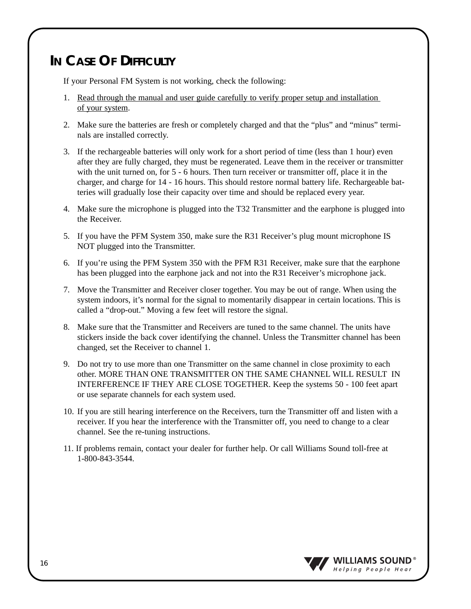# **IN CASE OF DIFFICULTY**

If your Personal FM System is not working, check the following:

- 1. Read through the manual and user guide carefully to verify proper setup and installation of your system.
- 2. Make sure the batteries are fresh or completely charged and that the "plus" and "minus" terminals are installed correctly.
- 3. If the rechargeable batteries will only work for a short period of time (less than 1 hour) even after they are fully charged, they must be regenerated. Leave them in the receiver or transmitter with the unit turned on, for 5 - 6 hours. Then turn receiver or transmitter off, place it in the charger, and charge for 14 - 16 hours. This should restore normal battery life. Rechargeable batteries will gradually lose their capacity over time and should be replaced every year.
- 4. Make sure the microphone is plugged into the T32 Transmitter and the earphone is plugged into the Receiver.
- 5. If you have the PFM System 350, make sure the R31 Receiver's plug mount microphone IS NOT plugged into the Transmitter.
- 6. If you're using the PFM System 350 with the PFM R31 Receiver, make sure that the earphone has been plugged into the earphone jack and not into the R31 Receiver's microphone jack.
- 7. Move the Transmitter and Receiver closer together. You may be out of range. When using the system indoors, it's normal for the signal to momentarily disappear in certain locations. This is called a "drop-out." Moving a few feet will restore the signal.
- 8. Make sure that the Transmitter and Receivers are tuned to the same channel. The units have stickers inside the back cover identifying the channel. Unless the Transmitter channel has been changed, set the Receiver to channel 1.
- 9. Do not try to use more than one Transmitter on the same channel in close proximity to each other. MORE THAN ONE TRANSMITTER ON THE SAME CHANNEL WILL RESULT IN INTERFERENCE IF THEY ARE CLOSE TOGETHER. Keep the systems 50 - 100 feet apart or use separate channels for each system used.
- 10. If you are still hearing interference on the Receivers, turn the Transmitter off and listen with a receiver. If you hear the interference with the Transmitter off, you need to change to a clear channel. See the re-tuning instructions.
- 11. If problems remain, contact your dealer for further help. Or call Williams Sound toll-free at 1-800-843-3544.

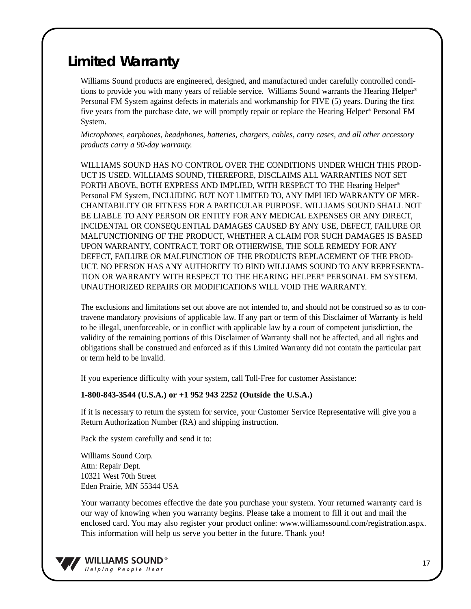# **Limited Warranty**

Williams Sound products are engineered, designed, and manufactured under carefully controlled conditions to provide you with many years of reliable service. Williams Sound warrants the Hearing Helper® Personal FM System against defects in materials and workmanship for FIVE (5) years. During the first five years from the purchase date, we will promptly repair or replace the Hearing Helper® Personal FM System.

*Microphones, earphones, headphones, batteries, chargers, cables, carry cases, and all other accessory products carry a 90-day warranty.*

WILLIAMS SOUND HAS NO CONTROL OVER THE CONDITIONS UNDER WHICH THIS PROD-UCT IS USED. WILLIAMS SOUND, THEREFORE, DISCLAIMS ALL WARRANTIES NOT SET FORTH ABOVE, BOTH EXPRESS AND IMPLIED, WITH RESPECT TO THE Hearing Helper® Personal FM System, INCLUDING BUT NOT LIMITED TO, ANY IMPLIED WARRANTY OF MER-CHANTABILITY OR FITNESS FOR A PARTICULAR PURPOSE. WILLIAMS SOUND SHALL NOT BE LIABLE TO ANY PERSON OR ENTITY FOR ANY MEDICAL EXPENSES OR ANY DIRECT, INCIDENTAL OR CONSEQUENTIAL DAMAGES CAUSED BY ANY USE, DEFECT, FAILURE OR MALFUNCTIONING OF THE PRODUCT, WHETHER A CLAIM FOR SUCH DAMAGES IS BASED UPON WARRANTY, CONTRACT, TORT OR OTHERWISE, THE SOLE REMEDY FOR ANY DEFECT, FAILURE OR MALFUNCTION OF THE PRODUCTS REPLACEMENT OF THE PROD-UCT. NO PERSON HAS ANY AUTHORITY TO BIND WILLIAMS SOUND TO ANY REPRESENTA-TION OR WARRANTY WITH RESPECT TO THE HEARING HELPER® PERSONAL FM SYSTEM. UNAUTHORIZED REPAIRS OR MODIFICATIONS WILL VOID THE WARRANTY.

The exclusions and limitations set out above are not intended to, and should not be construed so as to contravene mandatory provisions of applicable law. If any part or term of this Disclaimer of Warranty is held to be illegal, unenforceable, or in conflict with applicable law by a court of competent jurisdiction, the validity of the remaining portions of this Disclaimer of Warranty shall not be affected, and all rights and obligations shall be construed and enforced as if this Limited Warranty did not contain the particular part or term held to be invalid.

If you experience difficulty with your system, call Toll-Free for customer Assistance:

#### **1-800-843-3544 (U.S.A.) or +1 952 943 2252 (Outside the U.S.A.)**

If it is necessary to return the system for service, your Customer Service Representative will give you a Return Authorization Number (RA) and shipping instruction.

Pack the system carefully and send it to:

Williams Sound Corp. Attn: Repair Dept. 10321 West 70th Street Eden Prairie, MN 55344 USA

Your warranty becomes effective the date you purchase your system. Your returned warranty card is our way of knowing when you warranty begins. Please take a moment to fill it out and mail the enclosed card. You may also register your product online: www.williamssound.com/registration.aspx. This information will help us serve you better in the future. Thank you!

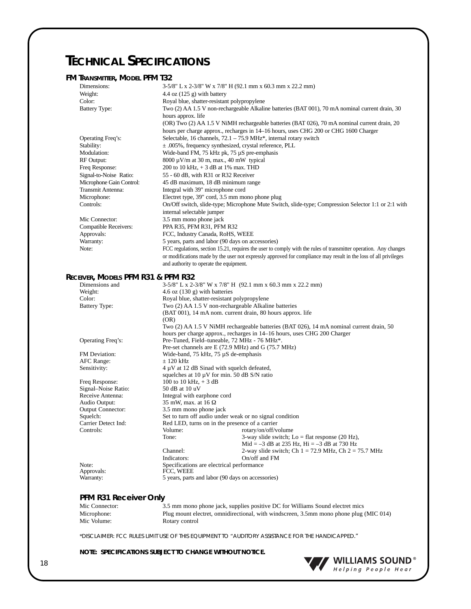# **TECHNICAL SPECIFICATIONS**

#### **FM TRANSMITTER, MODEL PFM T32**

| FM Iransmitter, Model PFM 132                                   |                                                                                                                    |                                                                                                                  |
|-----------------------------------------------------------------|--------------------------------------------------------------------------------------------------------------------|------------------------------------------------------------------------------------------------------------------|
| Dimensions:                                                     |                                                                                                                    | 3-5/8" L x 2-3/8" W x 7/8" H (92.1 mm x 60.3 mm x 22.2 mm)                                                       |
| Weight:                                                         | 4.4 oz $(125 \text{ g})$ with battery                                                                              |                                                                                                                  |
| Color:                                                          | Royal blue, shatter-resistant polypropylene                                                                        |                                                                                                                  |
| Battery Type:                                                   |                                                                                                                    | Two (2) AA 1.5 V non-rechargeable Alkaline batteries (BAT 001), 70 mA nominal current drain, 30                  |
|                                                                 | hours approx. life                                                                                                 |                                                                                                                  |
|                                                                 |                                                                                                                    | (OR) Two (2) AA 1.5 V NiMH rechargeable batteries (BAT 026), 70 mA nominal current drain, 20                     |
|                                                                 |                                                                                                                    | hours per charge approx., recharges in 14–16 hours, uses CHG 200 or CHG 1600 Charger                             |
| Operating Freq's:                                               |                                                                                                                    | Selectable, 16 channels, $72.1 - 75.9$ MHz <sup>*</sup> , internal rotary switch                                 |
| Stability:                                                      | ± .005%, frequency synthesized, crystal reference, PLL                                                             |                                                                                                                  |
| Modulation:                                                     | Wide-band FM, 75 kHz pk, 75 µS pre-emphasis                                                                        |                                                                                                                  |
|                                                                 |                                                                                                                    |                                                                                                                  |
| RF Output:                                                      | $8000 \mu V/m$ at 30 m, max., 40 mW typical                                                                        |                                                                                                                  |
| Freq Response:                                                  | 200 to 10 kHz, $+$ 3 dB at 1% max. THD                                                                             |                                                                                                                  |
| Signal-to-Noise Ratio:                                          | 55 - 60 dB, with R31 or R32 Receiver                                                                               |                                                                                                                  |
| Microphone Gain Control:                                        | 45 dB maximum, 18 dB minimum range                                                                                 |                                                                                                                  |
| Transmit Antenna:                                               | Integral with 39" microphone cord                                                                                  |                                                                                                                  |
| Microphone:                                                     | Electret type, 39" cord, 3.5 mm mono phone plug                                                                    |                                                                                                                  |
| Controls:                                                       |                                                                                                                    | On/Off switch, slide-type; Microphone Mute Switch, slide-type; Compression Selector 1:1 or 2:1 with              |
|                                                                 | internal selectable jumper                                                                                         |                                                                                                                  |
| Mic Connector:                                                  | 3.5 mm mono phone jack                                                                                             |                                                                                                                  |
| Compatible Receivers:                                           | PPA R35, PFM R31, PFM R32                                                                                          |                                                                                                                  |
| Approvals:                                                      | FCC, Industry Canada, RoHS, WEEE                                                                                   |                                                                                                                  |
| Warranty:                                                       | 5 years, parts and labor (90 days on accessories)                                                                  |                                                                                                                  |
| Note:                                                           |                                                                                                                    | FCC regulations, section 15.21, requires the user to comply with the rules of transmitter operation. Any changes |
|                                                                 |                                                                                                                    | or modifications made by the user not expressly approved for compliance may result in the loss of all privileges |
|                                                                 | and authority to operate the equipment.                                                                            |                                                                                                                  |
| RECEIVER, MODELS PFM R31 & PFM R32<br>Dimensions and<br>Weight: | 4.6 oz $(130 g)$ with batteries                                                                                    | 3-5/8" L x 2-3/8" W x 7/8" H (92.1 mm x 60.3 mm x 22.2 mm)                                                       |
| Color:                                                          | Royal blue, shatter-resistant polypropylene                                                                        |                                                                                                                  |
| <b>Battery Type:</b>                                            | Two (2) AA 1.5 V non-rechargeable Alkaline batteries<br>(BAT 001), 14 mA nom. current drain, 80 hours approx. life |                                                                                                                  |
|                                                                 | (OR)                                                                                                               |                                                                                                                  |
|                                                                 |                                                                                                                    | Two (2) AA 1.5 V NiMH rechargeable batteries (BAT 026), 14 mA nominal current drain, 50                          |
|                                                                 |                                                                                                                    | hours per charge approx., recharges in 14–16 hours, uses CHG 200 Charger                                         |
| Operating Freq's:                                               | Pre-Tuned, Field-tuneable, 72 MHz - 76 MHz*.                                                                       |                                                                                                                  |
|                                                                 | Pre-set channels are E (72.9 MHz) and G (75.7 MHz)                                                                 |                                                                                                                  |
| <b>FM</b> Deviation:                                            | Wide-band, $75$ kHz, $75 \mu S$ de-emphasis                                                                        |                                                                                                                  |
| AFC Range:                                                      | $\pm$ 120 kHz                                                                                                      |                                                                                                                  |
| Sensitivity:                                                    | $4 \mu V$ at 12 dB Sinad with squelch defeated,                                                                    |                                                                                                                  |
|                                                                 | squelches at $10 \mu V$ for min. 50 dB S/N ratio                                                                   |                                                                                                                  |
| Freq Response:                                                  | 100 to 10 kHz, $+3$ dB                                                                                             |                                                                                                                  |
| Signal-Noise Ratio:                                             | 50 dB at 10 uV                                                                                                     |                                                                                                                  |
| Receive Antenna:                                                | Integral with earphone cord                                                                                        |                                                                                                                  |
| Audio Output:                                                   | 35 mW, max. at 16 $\Omega$                                                                                         |                                                                                                                  |
| <b>Output Connector:</b>                                        | 3.5 mm mono phone jack                                                                                             |                                                                                                                  |
| Squelch:                                                        | Set to turn off audio under weak or no signal condition                                                            |                                                                                                                  |
| Carrier Detect Ind:                                             | Red LED, turns on in the presence of a carrier                                                                     |                                                                                                                  |
| Controls:                                                       | Volume:                                                                                                            | rotary/on/off/volume                                                                                             |
|                                                                 | Tone:                                                                                                              | 3-way slide switch; $Lo = flat$ response (20 Hz),<br>Mid = $-3$ dB at 235 Hz, Hi = $-3$ dB at 730 Hz             |
|                                                                 |                                                                                                                    | 2-way slide switch; Ch $1 = 72.9$ MHz, Ch $2 = 75.7$ MHz                                                         |
|                                                                 | Channel:<br>Indicators:                                                                                            | $On/off$ and $FM$                                                                                                |
| Note:                                                           | Specifications are electrical performance                                                                          |                                                                                                                  |
| Approvals:                                                      | FCC, WEEE                                                                                                          |                                                                                                                  |
| Warranty:                                                       | 5 years, parts and labor (90 days on accessories)                                                                  |                                                                                                                  |
|                                                                 |                                                                                                                    |                                                                                                                  |
|                                                                 |                                                                                                                    |                                                                                                                  |

#### **PFM R31 Receiver Only**

| Mic Connector: | 3.5 mm mono phone jack, supplies positive DC for Williams Sound electret mics          |
|----------------|----------------------------------------------------------------------------------------|
| Microphone:    | Plug mount electret, omnidirectional, with windscreen, 3.5mm mono phone plug (MIC 014) |
| Mic Volume:    | Rotary control                                                                         |

\*DISCLAIMER: FCC RULES LIMIT USE OF THIS EQUIPMENT TO "AUDITORY ASSISTANCE FOR THE HANDICAPPED."

#### **NOTE: SPECIFICATIONS SUBJECT TO CHANGE WITHOUT NOTICE.**

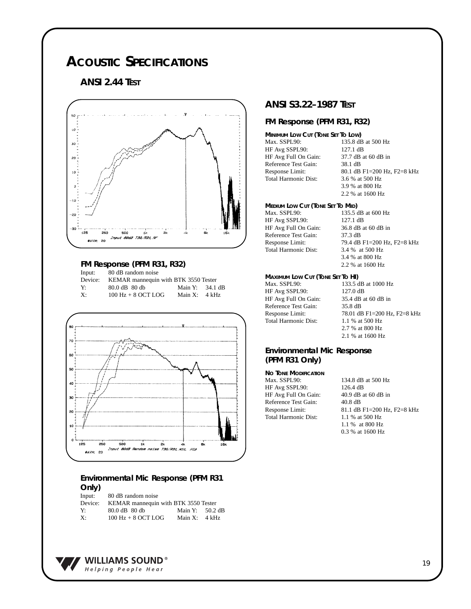### **ACOUSTIC SPECIFICATIONS**

**ANSI 2.44 TEST**



#### **FM Response (PFM R31, R32)**

| Input:  | 80 dB random noise                   |                           |  |
|---------|--------------------------------------|---------------------------|--|
| Device: | KEMAR mannequin with BTK 3550 Tester |                           |  |
| Y       | $80.0 \text{ dB}$ 80 db              | Main Y: $34.1 \text{ dB}$ |  |
| X:      | $100 \text{ Hz} + 8 \text{ OCT}$ LOG | Main $X: 4kHz$            |  |



#### **Environmental Mic Response (PFM R31 Only)**

| Input:  | 80 dB random noise                   |                           |  |
|---------|--------------------------------------|---------------------------|--|
| Device: | KEMAR mannequin with BTK 3550 Tester |                           |  |
| Y       | 80.0 dB 80 db                        | Main Y: $50.2 \text{ dB}$ |  |
| X:      | $100$ Hz + 8 OCT LOG                 | Main $X: 4kHz$            |  |

#### **ANSI S3.22–1987 TEST**

#### **FM Response (PFM R31, R32)**

**MINIMUM LOW CUT (TONE SET TO LOW)** Max. SSPL90: 135.8 dB at 500 Hz HF Avg SSPL90: 127.1 dB<br>HF Avg Full On Gain: 37.7 dB at 60 dB in HF Avg Full On Gain: Reference Test Gain: 38.1 dB Total Harmonic Dist:

Response Limit: 80.1 dB F1=200 Hz, F2=8 kHz<br>Total Harmonic Dist: 3.6 % at 500 Hz 3.9 % at 800 Hz 2.2 % at 1600 Hz

#### **MEDIUM LOW CUT (TONE SET TO MID)**

HF Avg SSPL90: 127.1 dB<br>HF Avg Full On Gain: 36.8 dB at 60 dB in HF Avg Full On Gain: Reference Test Gain: 37.3 dB Total Harmonic Dist:

Max. SSPL90: 135.5 dB at 600 Hz<br>HF Avg SSPL90: 127.1 dB Response Limit: 79.4 dB F1=200 Hz, F2=8 kHz<br>Total Harmonic Dist: 3.4 % at 500 Hz 3.4 % at 800 Hz 2.2 % at 1600 Hz

### **MAXIMUM LOW CUT (TONE SET TO HI)**<br>Max. SSPL90: 133.5 c

HF Avg SSPL90: 127.0 dB<br>HF Avg Full On Gain: 35.4 dB at 60 dB in HF Avg Full On Gain: Reference Test Gain: 35.8 dB<br>Response Limit: 78.01 dB Total Harmonic Dist:

 $133.5$  dB at 1000 Hz<br>127.0 dB 78.01 dB F1=200 Hz, F2=8 kHz<br>1.1 % at 500 Hz 2.7 % at 800 Hz 2.1 % at 1600 Hz

#### **Environmental Mic Response (PFM R31 Only)**

**NO TONE MODIFICATION**<br>Max. SSPL90: HF Avg SSPL90: 126.4 dB<br>HF Avg Full On Gain: 40.9 dB at 60 dB in HF Avg Full On Gain: 40.9 dB<br>Reference Test Gain: 40.8 dB Reference Test Gain: Total Harmonic Dist: 1.1 % at 500 Hz

134.8 dB at 500 Hz Response Limit: 81.1 dB F1=200 Hz, F2=8 kHz 1.1 % at 800 Hz 0.3 % at 1600 Hz